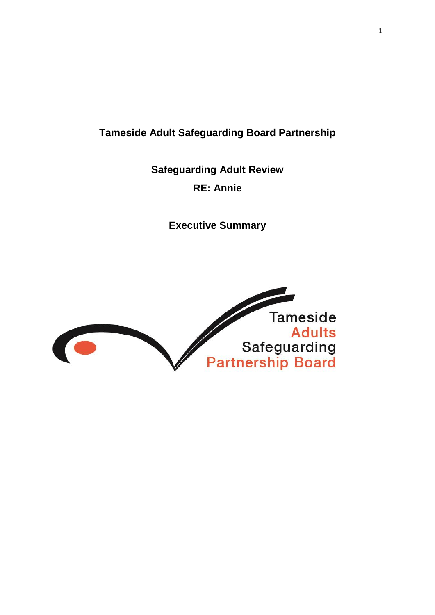# **Tameside Adult Safeguarding Board Partnership**

**Safeguarding Adult Review RE: Annie**

**Executive Summary** 

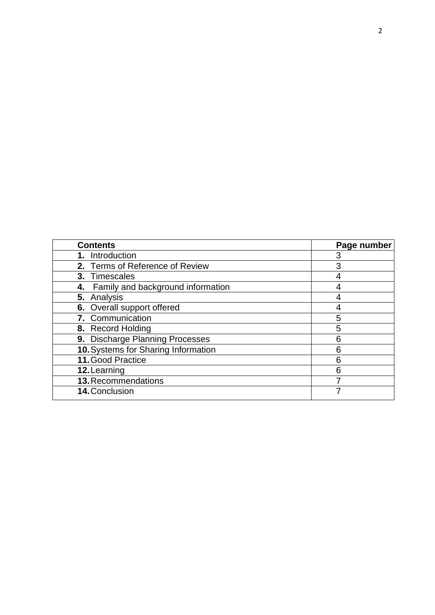| <b>Contents</b>                      | Page number |
|--------------------------------------|-------------|
| 1. Introduction                      |             |
| 2. Terms of Reference of Review      | 3           |
| 3. Timescales                        |             |
| 4. Family and background information |             |
| 5. Analysis                          |             |
| 6. Overall support offered           |             |
| 7. Communication                     | 5           |
| 8. Record Holding                    | 5           |
| 9. Discharge Planning Processes      | 6           |
| 10. Systems for Sharing Information  | 6           |
| 11. Good Practice                    | 6           |
| 12. Learning                         | 6           |
| 13. Recommendations                  |             |
| 14. Conclusion                       |             |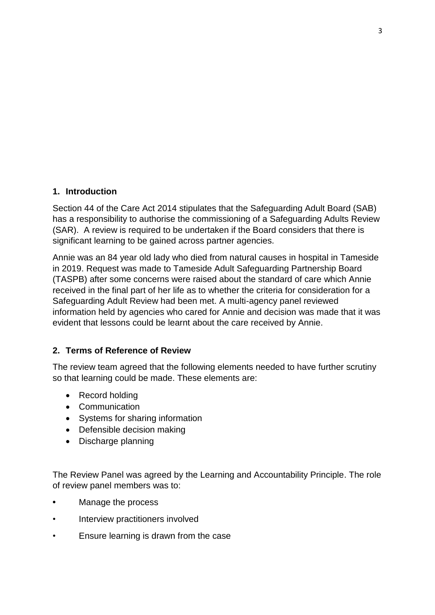### **1. Introduction**

Section 44 of the Care Act 2014 stipulates that the Safeguarding Adult Board (SAB) has a responsibility to authorise the commissioning of a Safeguarding Adults Review (SAR). A review is required to be undertaken if the Board considers that there is significant learning to be gained across partner agencies.

Annie was an 84 year old lady who died from natural causes in hospital in Tameside in 2019. Request was made to Tameside Adult Safeguarding Partnership Board (TASPB) after some concerns were raised about the standard of care which Annie received in the final part of her life as to whether the criteria for consideration for a Safeguarding Adult Review had been met. A multi-agency panel reviewed information held by agencies who cared for Annie and decision was made that it was evident that lessons could be learnt about the care received by Annie.

# **2. Terms of Reference of Review**

The review team agreed that the following elements needed to have further scrutiny so that learning could be made. These elements are:

- Record holding
- Communication
- Systems for sharing information
- Defensible decision making
- Discharge planning

The Review Panel was agreed by the Learning and Accountability Principle. The role of review panel members was to:

- **•** Manage the process
- Interview practitioners involved
- Ensure learning is drawn from the case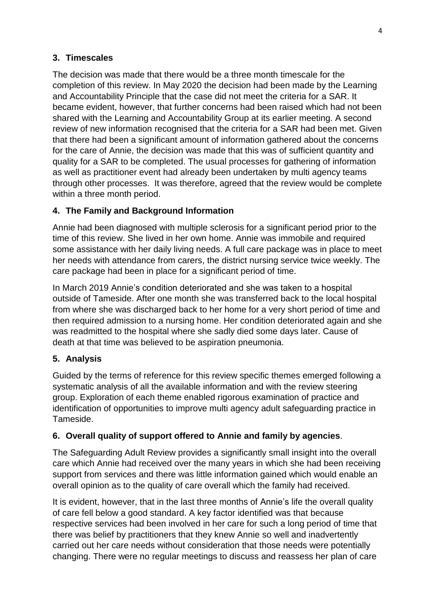# **3. Timescales**

The decision was made that there would be a three month timescale for the completion of this review. In May 2020 the decision had been made by the Learning and Accountability Principle that the case did not meet the criteria for a SAR. It became evident, however, that further concerns had been raised which had not been shared with the Learning and Accountability Group at its earlier meeting. A second review of new information recognised that the criteria for a SAR had been met. Given that there had been a significant amount of information gathered about the concerns for the care of Annie, the decision was made that this was of sufficient quantity and quality for a SAR to be completed. The usual processes for gathering of information as well as practitioner event had already been undertaken by multi agency teams through other processes. It was therefore, agreed that the review would be complete within a three month period.

### **4. The Family and Background Information**

Annie had been diagnosed with multiple sclerosis for a significant period prior to the time of this review. She lived in her own home. Annie was immobile and required some assistance with her daily living needs. A full care package was in place to meet her needs with attendance from carers, the district nursing service twice weekly. The care package had been in place for a significant period of time.

In March 2019 Annie's condition deteriorated and she was taken to a hospital outside of Tameside. After one month she was transferred back to the local hospital from where she was discharged back to her home for a very short period of time and then required admission to a nursing home. Her condition deteriorated again and she was readmitted to the hospital where she sadly died some days later. Cause of death at that time was believed to be aspiration pneumonia.

#### **5. Analysis**

Guided by the terms of reference for this review specific themes emerged following a systematic analysis of all the available information and with the review steering group. Exploration of each theme enabled rigorous examination of practice and identification of opportunities to improve multi agency adult safeguarding practice in Tameside.

#### **6. Overall quality of support offered to Annie and family by agencies**.

The Safeguarding Adult Review provides a significantly small insight into the overall care which Annie had received over the many years in which she had been receiving support from services and there was little information gained which would enable an overall opinion as to the quality of care overall which the family had received.

It is evident, however, that in the last three months of Annie's life the overall quality of care fell below a good standard. A key factor identified was that because respective services had been involved in her care for such a long period of time that there was belief by practitioners that they knew Annie so well and inadvertently carried out her care needs without consideration that those needs were potentially changing. There were no regular meetings to discuss and reassess her plan of care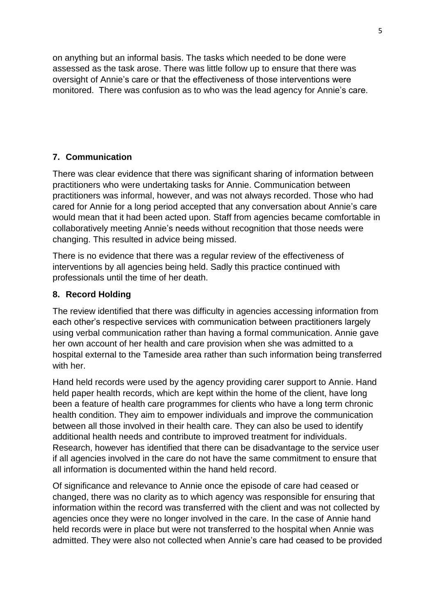on anything but an informal basis. The tasks which needed to be done were assessed as the task arose. There was little follow up to ensure that there was oversight of Annie's care or that the effectiveness of those interventions were monitored. There was confusion as to who was the lead agency for Annie's care.

#### **7. Communication**

There was clear evidence that there was significant sharing of information between practitioners who were undertaking tasks for Annie. Communication between practitioners was informal, however, and was not always recorded. Those who had cared for Annie for a long period accepted that any conversation about Annie's care would mean that it had been acted upon. Staff from agencies became comfortable in collaboratively meeting Annie's needs without recognition that those needs were changing. This resulted in advice being missed.

There is no evidence that there was a regular review of the effectiveness of interventions by all agencies being held. Sadly this practice continued with professionals until the time of her death.

#### **8. Record Holding**

The review identified that there was difficulty in agencies accessing information from each other's respective services with communication between practitioners largely using verbal communication rather than having a formal communication. Annie gave her own account of her health and care provision when she was admitted to a hospital external to the Tameside area rather than such information being transferred with her.

Hand held records were used by the agency providing carer support to Annie. Hand held paper health records, which are kept within the home of the client, have long been a feature of health care programmes for clients who have a long term chronic health condition. They aim to empower individuals and improve the communication between all those involved in their health care. They can also be used to identify additional health needs and contribute to improved treatment for individuals. Research, however has identified that there can be disadvantage to the service user if all agencies involved in the care do not have the same commitment to ensure that all information is documented within the hand held record.

Of significance and relevance to Annie once the episode of care had ceased or changed, there was no clarity as to which agency was responsible for ensuring that information within the record was transferred with the client and was not collected by agencies once they were no longer involved in the care. In the case of Annie hand held records were in place but were not transferred to the hospital when Annie was admitted. They were also not collected when Annie's care had ceased to be provided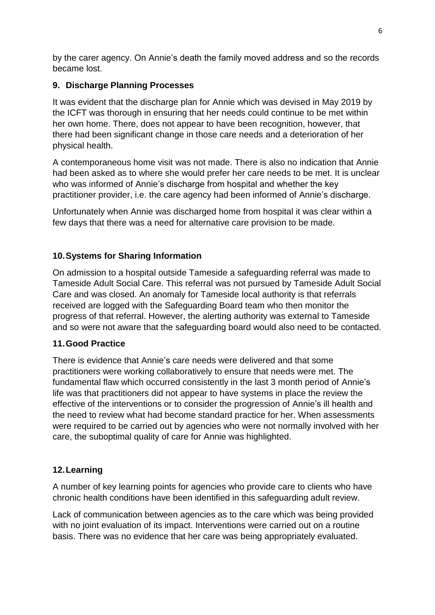by the carer agency. On Annie's death the family moved address and so the records became lost.

# **9. Discharge Planning Processes**

It was evident that the discharge plan for Annie which was devised in May 2019 by the ICFT was thorough in ensuring that her needs could continue to be met within her own home. There, does not appear to have been recognition, however, that there had been significant change in those care needs and a deterioration of her physical health.

A contemporaneous home visit was not made. There is also no indication that Annie had been asked as to where she would prefer her care needs to be met. It is unclear who was informed of Annie's discharge from hospital and whether the key practitioner provider, i.e. the care agency had been informed of Annie's discharge.

Unfortunately when Annie was discharged home from hospital it was clear within a few days that there was a need for alternative care provision to be made.

# **10.Systems for Sharing Information**

On admission to a hospital outside Tameside a safeguarding referral was made to Tameside Adult Social Care. This referral was not pursued by Tameside Adult Social Care and was closed. An anomaly for Tameside local authority is that referrals received are logged with the Safeguarding Board team who then monitor the progress of that referral. However, the alerting authority was external to Tameside and so were not aware that the safeguarding board would also need to be contacted.

# **11.Good Practice**

There is evidence that Annie's care needs were delivered and that some practitioners were working collaboratively to ensure that needs were met. The fundamental flaw which occurred consistently in the last 3 month period of Annie's life was that practitioners did not appear to have systems in place the review the effective of the interventions or to consider the progression of Annie's ill health and the need to review what had become standard practice for her. When assessments were required to be carried out by agencies who were not normally involved with her care, the suboptimal quality of care for Annie was highlighted.

# **12.Learning**

A number of key learning points for agencies who provide care to clients who have chronic health conditions have been identified in this safeguarding adult review.

Lack of communication between agencies as to the care which was being provided with no joint evaluation of its impact. Interventions were carried out on a routine basis. There was no evidence that her care was being appropriately evaluated.